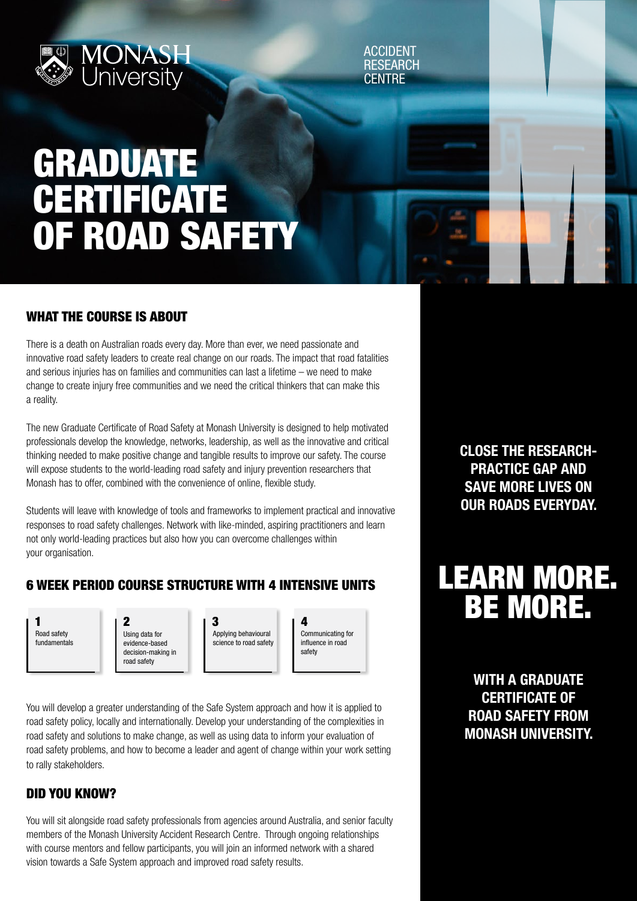

ACCIDENT **RESEARCH CENTRE** 

# GRADUATE CERTIFICATE OF ROAD SAFETY

#### WHAT THE COURSE IS ABOUT

There is a death on Australian roads every day. More than ever, we need passionate and innovative road safety leaders to create real change on our roads. The impact that road fatalities and serious injuries has on families and communities can last a lifetime – we need to make change to create injury free communities and we need the critical thinkers that can make this a reality.

The new Graduate Certificate of Road Safety at Monash University is designed to help motivated professionals develop the knowledge, networks, leadership, as well as the innovative and critical thinking needed to make positive change and tangible results to improve our safety. The course will expose students to the world-leading road safety and injury prevention researchers that Monash has to offer, combined with the convenience of online, flexible study.

Students will leave with knowledge of tools and frameworks to implement practical and innovative responses to road safety challenges. Network with like-minded, aspiring practitioners and learn not only world-leading practices but also how you can overcome challenges within your organisation.

#### 6 WEEK PERIOD COURSE STRUCTURE WITH 4 INTENSIVE UNITS



Using data for evidence-based decision-making in road safety 1  $|2 \t|3 \t|4$ 

Applying behavioural science to road safety

Communicating for influence in road safety

You will develop a greater understanding of the Safe System approach and how it is applied to road safety policy, locally and internationally. Develop your understanding of the complexities in road safety and solutions to make change, as well as using data to inform your evaluation of road safety problems, and how to become a leader and agent of change within your work setting to rally stakeholders.

#### DID YOU KNOW?

You will sit alongside road safety professionals from agencies around Australia, and senior faculty members of the Monash University Accident Research Centre. Through ongoing relationships with course mentors and fellow participants, you will join an informed network with a shared vision towards a Safe System approach and improved road safety results.

CLOSE THE RESEARCH-PRACTICE GAP AND SAVE MORE LIVES ON OUR ROADS EVERYDAY.

# LEARN MORE. BE MORE.

WITH A GRADUATE CERTIFICATE OF ROAD SAFETY FROM MONASH UNIVERSITY.